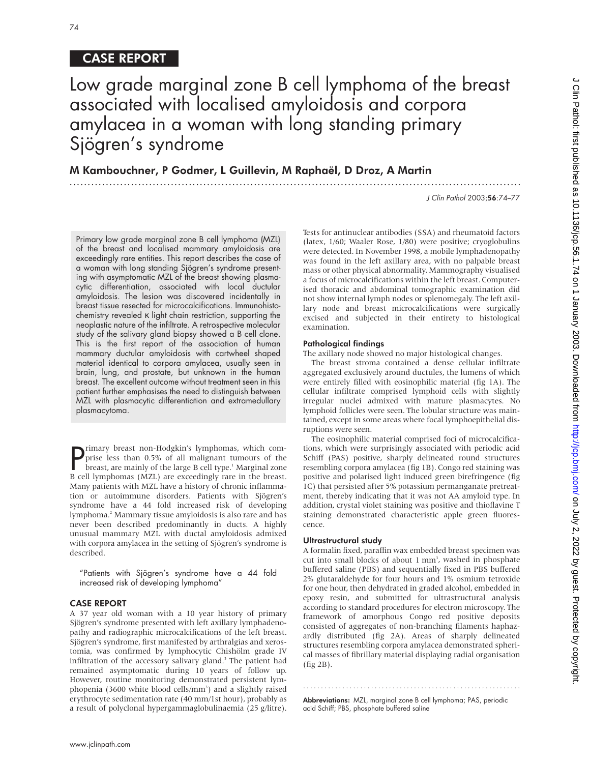# CASE REPORT

# Low grade marginal zone B cell lymphoma of the breast associated with localised amyloidosis and corpora amylacea in a woman with long standing primary Sjögren's syndrome

.............................................................................................................................

M Kambouchner, P Godmer, L Guillevin, M Raphaël, D Droz, A Martin

J Clin Pathol 2003;56:74–77

Primary low grade marginal zone B cell lymphoma (MZL) of the breast and localised mammary amyloidosis are exceedingly rare entities. This report describes the case of a woman with long standing Sjögren's syndrome presenting with asymptomatic MZL of the breast showing plasmacytic differentiation, associated with local ductular amyloidosis. The lesion was discovered incidentally in breast tissue resected for microcalcifications. Immunohistochemistry revealed κ light chain restriction, supporting the neoplastic nature of the infiltrate. A retrospective molecular study of the salivary gland biopsy showed a B cell clone. This is the first report of the association of human mammary ductular amyloidosis with cartwheel shaped material identical to corpora amylacea, usually seen in brain, lung, and prostate, but unknown in the human breast. The excellent outcome without treatment seen in this patient further emphasises the need to distinguish between MZL with plasmacytic differentiation and extramedullary plasmacytoma.

**P** rimary breast non-Hodgkin's lymphomas, which comprise less than 0.5% of all malignant tumours of the breast, are mainly of the large B cell type.<sup>1</sup> Marginal zone prise less than 0.5% of all malignant tumours of the breast, are mainly of the large B cell type.<sup>1</sup> Marginal zone B cell lymphomas (MZL) are exceedingly rare in the breast. Many patients with MZL have a history of chronic inflammation or autoimmune disorders. Patients with Sjögren's syndrome have a 44 fold increased risk of developing lymphoma.2 Mammary tissue amyloidosis is also rare and has never been described predominantly in ducts. A highly unusual mammary MZL with ductal amyloidosis admixed with corpora amylacea in the setting of Sjögren's syndrome is described.

"Patients with Sjögren's syndrome have a 44 fold increased risk of developing lymphoma"

## CASE REPORT

A 37 year old woman with a 10 year history of primary Sjögren's syndrome presented with left axillary lymphadenopathy and radiographic microcalcifications of the left breast. Sjögren's syndrome, first manifested by arthralgias and xerostomia, was confirmed by lymphocytic Chishölm grade IV infiltration of the accessory salivary gland.<sup>3</sup> The patient had remained asymptomatic during 10 years of follow up. However, routine monitoring demonstrated persistent lymphopenia (3600 white blood cells/mm<sup>3</sup>) and a slightly raised erythrocyte sedimentation rate (40 mm/1st hour), probably as a result of polyclonal hypergammaglobulinaemia (25 g/litre). Tests for antinuclear antibodies (SSA) and rheumatoid factors (latex, 1/60; Waaler Rose, 1/80) were positive; cryoglobulins were detected. In November 1998, a mobile lymphadenopathy was found in the left axillary area, with no palpable breast mass or other physical abnormality. Mammography visualised a focus of microcalcifications within the left breast. Computerised thoracic and abdominal tomographic examination did not show internal lymph nodes or splenomegaly. The left axillary node and breast microcalcifications were surgically excised and subjected in their entirety to histological examination.

## Pathological findings

The axillary node showed no major histological changes.

The breast stroma contained a dense cellular infiltrate aggregated exclusively around ductules, the lumens of which were entirely filled with eosinophilic material (fig 1A). The cellular infiltrate comprised lymphoid cells with slightly irregular nuclei admixed with mature plasmacytes. No lymphoid follicles were seen. The lobular structure was maintained, except in some areas where focal lymphoepithelial disruptions were seen.

The eosinophilic material comprised foci of microcalcifications, which were surprisingly associated with periodic acid Schiff (PAS) positive, sharply delineated round structures resembling corpora amylacea (fig 1B). Congo red staining was positive and polarised light induced green birefringence (fig 1C) that persisted after 5% potassium permanganate pretreatment, thereby indicating that it was not AA amyloid type. In addition, crystal violet staining was positive and thioflavine T staining demonstrated characteristic apple green fluorescence.

## Ultrastructural study

A formalin fixed, paraffin wax embedded breast specimen was cut into small blocks of about 1 mm<sup>3</sup>, washed in phosphate buffered saline (PBS) and sequentially fixed in PBS buffered 2% glutaraldehyde for four hours and 1% osmium tetroxide for one hour, then dehydrated in graded alcohol, embedded in epoxy resin, and submitted for ultrastructural analysis according to standard procedures for electron microscopy. The framework of amorphous Congo red positive deposits consisted of aggregates of non-branching filaments haphazardly distributed (fig 2A). Areas of sharply delineated structures resembling corpora amylacea demonstrated spherical masses of fibrillary material displaying radial organisation (fig 2B).

Abbreviations: MZL, marginal zone B cell lymphoma; PAS, periodic acid Schiff; PBS, phosphate buffered saline

.............................................................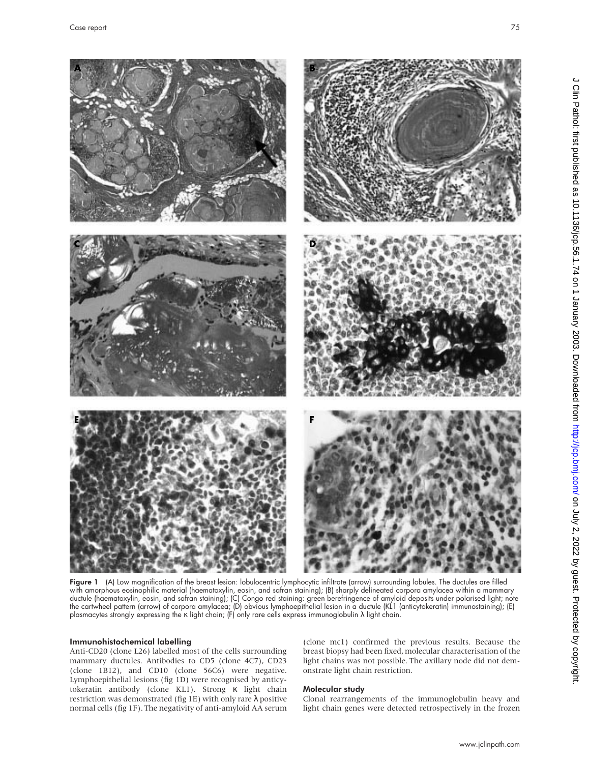

Figure 1 (A) Low magnification of the breast lesion: lobulocentric lymphocytic infiltrate (arrow) surrounding lobules. The ductules are filled with amorphous eosinophilic material (haematoxylin, eosin, and safran staining); (B) sharply delineated corpora amylacea within a mammary ductule (haematoxylin, eosin, and safran staining); (C) Congo red staining: green berefringence of amyloid deposits under polarised light; note the cartwheel pattern (arrow) of corpora amylacea; (D) obvious lymphoepithelial lesion in a ductule (KL1 (anticytokeratin) immunostaining); (E) plasmacytes strongly expressing the κ light chain; (F) only rare cells express immunoglobulin λ light chain.

# Immunohistochemical labelling

Anti-CD20 (clone L26) labelled most of the cells surrounding mammary ductules. Antibodies to CD5 (clone 4C7), CD23 (clone 1B12), and CD10 (clone 56C6) were negative. Lymphoepithelial lesions (fig 1D) were recognised by anticytokeratin antibody (clone KL1). Strong κ light chain restriction was demonstrated (fig 1E) with only rare λ positive normal cells (fig 1F). The negativity of anti-amyloid AA serum

(clone mc1) confirmed the previous results. Because the breast biopsy had been fixed, molecular characterisation of the light chains was not possible. The axillary node did not demonstrate light chain restriction.

# Molecular study

Clonal rearrangements of the immunoglobulin heavy and light chain genes were detected retrospectively in the frozen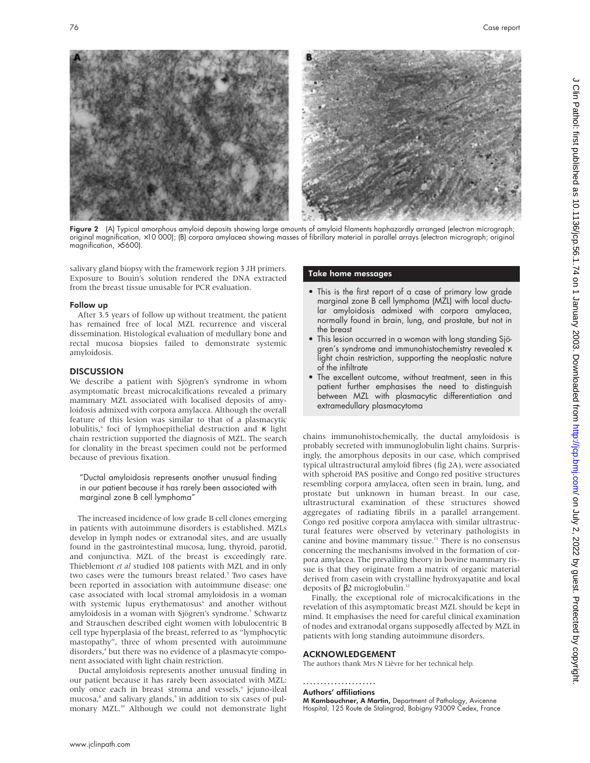

Figure 2 (A) Typical amorphous amyloid deposits showing large amounts of amyloid filaments haphazardly arranged (electron micrograph; original magnification, ×10 000); (B) corpora amylacea showing masses of fibrillary material in parallel arrays (electron micrograph; original magnification, ×5600).

salivary gland biopsy with the framework region 3 JH primers. Exposure to Bouin's solution rendered the DNA extracted from the breast tissue unusable for PCR evaluation.

#### Follow up

After 3.5 years of follow up without treatment, the patient has remained free of local MZL recurrence and visceral dissemination. Histological evaluation of medullary bone and rectal mucosa biopsies failed to demonstrate systemic amyloidosis.

## **DISCUSSION**

We describe a patient with Sjögren's syndrome in whom asymptomatic breast microcalcifications revealed a primary mammary MZL associated with localised deposits of amyloidosis admixed with corpora amylacea. Although the overall feature of this lesion was similar to that of a plasmacytic lobulitis,4 foci of lymphoepithelial destruction and κ light chain restriction supported the diagnosis of MZL. The search for clonality in the breast specimen could not be performed because of previous fixation.

"Ductal amyloidosis represents another unusual finding in our patient because it has rarely been associated with marginal zone B cell lymphoma"

The increased incidence of low grade B cell clones emerging in patients with autoimmune disorders is established. MZLs develop in lymph nodes or extranodal sites, and are usually found in the gastrointestinal mucosa, lung, thyroid, parotid, and conjunctiva. MZL of the breast is exceedingly rare. Thieblemont *et al* studied 108 patients with MZL and in only two cases were the tumours breast related.<sup>5</sup> Two cases have been reported in association with autoimmune disease: one case associated with local stromal amyloidosis in a woman with systemic lupus erythematosus<sup>6</sup> and another without amyloidosis in a woman with Sjögren's syndrome.<sup>7</sup> Schwartz and Strauschen described eight women with lobulocentric B cell type hyperplasia of the breast, referred to as "lymphocytic mastopathy", three of whom presented with autoimmune disorders,<sup>4</sup> but there was no evidence of a plasmacyte component associated with light chain restriction.

Ductal amyloidosis represents another unusual finding in our patient because it has rarely been associated with MZL: only once each in breast stroma and vessels,<sup>6</sup> jejuno-ileal mucosa,<sup>8</sup> and salivary glands,<sup>9</sup> in addition to six cases of pulmonary MZL.<sup>10</sup> Although we could not demonstrate light

#### Take home messages

- This is the first report of a case of primary low grade marginal zone B cell lymphoma (MZL) with local ductular amyloidosis admixed with corpora amylacea, normally found in brain, lung, and prostate, but not in the breast
- This lesion occurred in a woman with long standing Sjögren's syndrome and immunohistochemistry revealed κ light chain restriction, supporting the neoplastic nature of the infiltrate
- The excellent outcome, without treatment, seen in this patient further emphasises the need to distinguish between MZL with plasmacytic differentiation and extramedullary plasmacytoma

chains immunohistochemically, the ductal amyloidosis is probably secreted with immunoglobulin light chains. Surprisingly, the amorphous deposits in our case, which comprised typical ultrastructural amyloid fibres (fig 2A), were associated with spheroid PAS positive and Congo red positive structures resembling corpora amylacea, often seen in brain, lung, and prostate but unknown in human breast. In our case, ultrastructural examination of these structures showed aggregates of radiating fibrils in a parallel arrangement. Congo red positive corpora amylacea with similar ultrastructural features were observed by veterinary pathologists in canine and bovine mammary tissue.<sup>11</sup> There is no consensus concerning the mechanisms involved in the formation of corpora amylacea. The prevailing theory in bovine mammary tissue is that they originate from a matrix of organic material derived from casein with crystalline hydroxyapatite and local deposits of β2 microglobulin.<sup>12</sup>

Finally, the exceptional role of microcalcifications in the revelation of this asymptomatic breast MZL should be kept in mind. It emphasises the need for careful clinical examination of nodes and extranodal organs supposedly affected by MZL in patients with long standing autoimmune disorders.

#### ACKNOWLEDGEMENT

The authors thank Mrs N Lièvre for her technical help.

#### .....................

Authors' affiliations

M Kambouchner, A Martin, Department of Pathology, Avicenne Hospital, 125 Route de Stalingrad, Bobigny 93009 Cedex, France